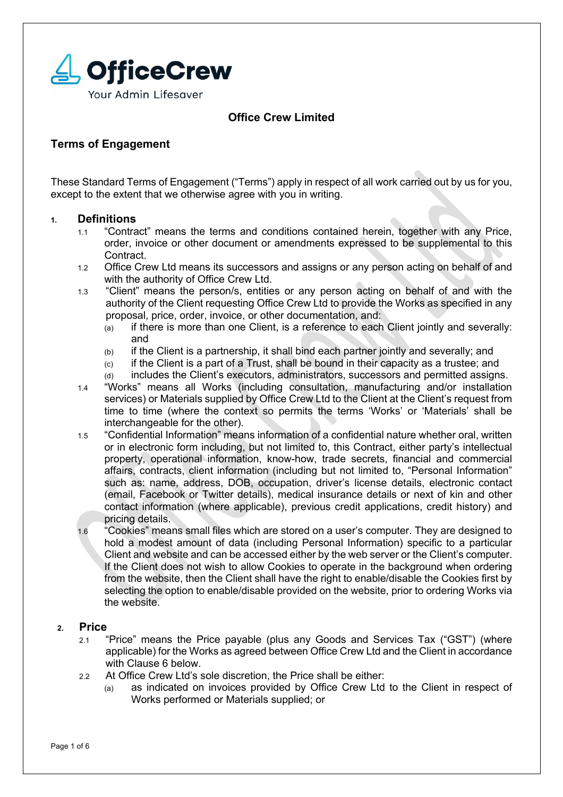

# **Office Crew Limited**

# **Terms of Engagement**

These Standard Terms of Engagement ("Terms") apply in respect of all work carried out by us for you, except to the extent that we otherwise agree with you in writing.

## **1. Definitions**

- 1.1 "Contract" means the terms and conditions contained herein, together with any Price, order, invoice or other document or amendments expressed to be supplemental to this Contract.
- 1.2 Office Crew Ltd means its successors and assigns or any person acting on behalf of and with the authority of Office Crew Ltd.
- 1.3 "Client" means the person/s, entities or any person acting on behalf of and with the authority of the Client requesting Office Crew Ltd to provide the Works as specified in any proposal, price, order, invoice, or other documentation, and:
	- (a) if there is more than one Client, is a reference to each Client jointly and severally: and
	- (b) if the Client is a partnership, it shall bind each partner jointly and severally; and
	- (c) if the Client is a part of a Trust, shall be bound in their capacity as a trustee; and
	- (d) includes the Client's executors, administrators, successors and permitted assigns.
- 1.4 "Works" means all Works (including consultation, manufacturing and/or installation services) or Materials supplied by Office Crew Ltd to the Client at the Client's request from time to time (where the context so permits the terms 'Works' or 'Materials' shall be interchangeable for the other).
- 1.5 "Confidential Information" means information of a confidential nature whether oral, written or in electronic form including, but not limited to, this Contract, either party's intellectual property, operational information, know-how, trade secrets, financial and commercial affairs, contracts, client information (including but not limited to, "Personal Information" such as: name, address, DOB, occupation, driver's license details, electronic contact (email, Facebook or Twitter details), medical insurance details or next of kin and other contact information (where applicable), previous credit applications, credit history) and pricing details.
- 1.6 "Cookies" means small files which are stored on a user's computer. They are designed to hold a modest amount of data (including Personal Information) specific to a particular Client and website and can be accessed either by the web server or the Client's computer. If the Client does not wish to allow Cookies to operate in the background when ordering from the website, then the Client shall have the right to enable/disable the Cookies first by selecting the option to enable/disable provided on the website, prior to ordering Works via the website.

# **2. Price**

- 2.1 "Price" means the Price payable (plus any Goods and Services Tax ("GST") (where applicable) for the Works as agreed between Office Crew Ltd and the Client in accordance with Clause 6 below.
- 2.2 At Office Crew Ltd's sole discretion, the Price shall be either:
	- (a) as indicated on invoices provided by Office Crew Ltd to the Client in respect of Works performed or Materials supplied; or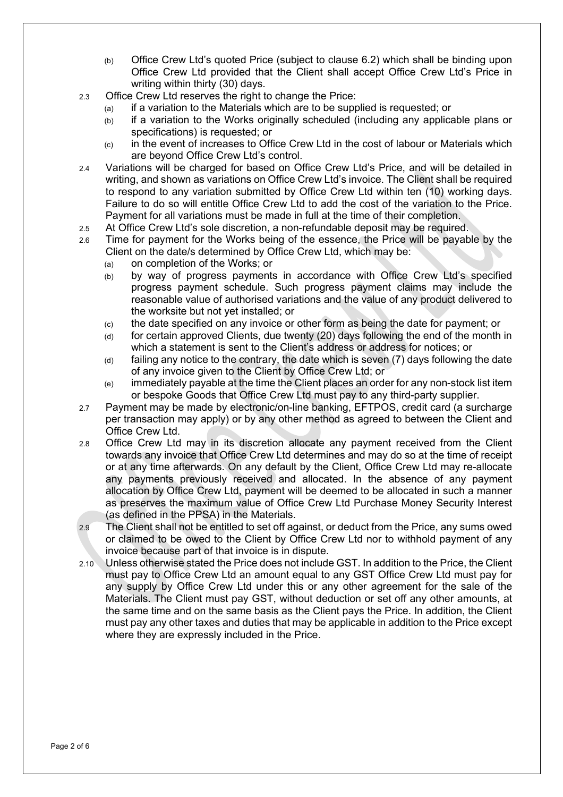- (b) Office Crew Ltd's quoted Price (subject to clause 6.2) which shall be binding upon Office Crew Ltd provided that the Client shall accept Office Crew Ltd's Price in writing within thirty (30) days.
- 2.3 Office Crew Ltd reserves the right to change the Price:
	- (a) if a variation to the Materials which are to be supplied is requested; or
	- (b) if a variation to the Works originally scheduled (including any applicable plans or specifications) is requested; or
	- $(c)$  in the event of increases to Office Crew Ltd in the cost of labour or Materials which are beyond Office Crew Ltd's control.
- 2.4 Variations will be charged for based on Office Crew Ltd's Price, and will be detailed in writing, and shown as variations on Office Crew Ltd's invoice. The Client shall be required to respond to any variation submitted by Office Crew Ltd within ten (10) working days. Failure to do so will entitle Office Crew Ltd to add the cost of the variation to the Price. Payment for all variations must be made in full at the time of their completion.
- 2.5 At Office Crew Ltd's sole discretion, a non-refundable deposit may be required.
- 2.6 Time for payment for the Works being of the essence, the Price will be payable by the Client on the date/s determined by Office Crew Ltd, which may be:
	- (a) on completion of the Works; or
	- (b) by way of progress payments in accordance with Office Crew Ltd's specified progress payment schedule. Such progress payment claims may include the reasonable value of authorised variations and the value of any product delivered to the worksite but not yet installed; or
	- (c) the date specified on any invoice or other form as being the date for payment; or
	- (d) for certain approved Clients, due twenty (20) days following the end of the month in which a statement is sent to the Client's address or address for notices; or
	- (d) failing any notice to the contrary, the date which is seven (7) days following the date of any invoice given to the Client by Office Crew Ltd; or
	- (e) immediately payable at the time the Client places an order for any non-stock list item or bespoke Goods that Office Crew Ltd must pay to any third-party supplier.
- 2.7 Payment may be made by electronic/on-line banking, EFTPOS, credit card (a surcharge per transaction may apply) or by any other method as agreed to between the Client and Office Crew Ltd.
- 2.8 Office Crew Ltd may in its discretion allocate any payment received from the Client towards any invoice that Office Crew Ltd determines and may do so at the time of receipt or at any time afterwards. On any default by the Client, Office Crew Ltd may re-allocate any payments previously received and allocated. In the absence of any payment allocation by Office Crew Ltd, payment will be deemed to be allocated in such a manner as preserves the maximum value of Office Crew Ltd Purchase Money Security Interest (as defined in the PPSA) in the Materials.
- 2.9 The Client shall not be entitled to set off against, or deduct from the Price, any sums owed or claimed to be owed to the Client by Office Crew Ltd nor to withhold payment of any invoice because part of that invoice is in dispute.
- 2.10 Unless otherwise stated the Price does not include GST. In addition to the Price, the Client must pay to Office Crew Ltd an amount equal to any GST Office Crew Ltd must pay for any supply by Office Crew Ltd under this or any other agreement for the sale of the Materials. The Client must pay GST, without deduction or set off any other amounts, at the same time and on the same basis as the Client pays the Price. In addition, the Client must pay any other taxes and duties that may be applicable in addition to the Price except where they are expressly included in the Price.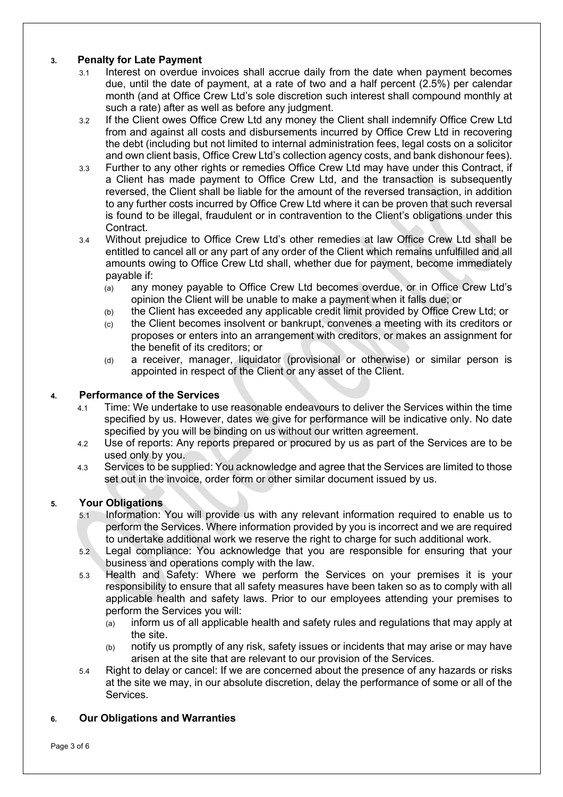# **3. Penalty for Late Payment**

- 3.1 Interest on overdue invoices shall accrue daily from the date when payment becomes due, until the date of payment, at a rate of two and a half percent (2.5%) per calendar month (and at Office Crew Ltd's sole discretion such interest shall compound monthly at such a rate) after as well as before any judgment.
- 3.2 If the Client owes Office Crew Ltd any money the Client shall indemnify Office Crew Ltd from and against all costs and disbursements incurred by Office Crew Ltd in recovering the debt (including but not limited to internal administration fees, legal costs on a solicitor and own client basis, Office Crew Ltd's collection agency costs, and bank dishonour fees).
- 3.3 Further to any other rights or remedies Office Crew Ltd may have under this Contract, if a Client has made payment to Office Crew Ltd, and the transaction is subsequently reversed, the Client shall be liable for the amount of the reversed transaction, in addition to any further costs incurred by Office Crew Ltd where it can be proven that such reversal is found to be illegal, fraudulent or in contravention to the Client's obligations under this Contract.
- 3.4 Without prejudice to Office Crew Ltd's other remedies at law Office Crew Ltd shall be entitled to cancel all or any part of any order of the Client which remains unfulfilled and all amounts owing to Office Crew Ltd shall, whether due for payment, become immediately payable if:
	- (a) any money payable to Office Crew Ltd becomes overdue, or in Office Crew Ltd's opinion the Client will be unable to make a payment when it falls due; or
	- (b) the Client has exceeded any applicable credit limit provided by Office Crew Ltd; or
	- (c) the Client becomes insolvent or bankrupt, convenes a meeting with its creditors or proposes or enters into an arrangement with creditors, or makes an assignment for the benefit of its creditors; or
	- (d) a receiver, manager, liquidator (provisional or otherwise) or similar person is appointed in respect of the Client or any asset of the Client.

## **4. Performance of the Services**

- 4.1 Time: We undertake to use reasonable endeavours to deliver the Services within the time specified by us. However, dates we give for performance will be indicative only. No date specified by you will be binding on us without our written agreement.
- 4.2 Use of reports: Any reports prepared or procured by us as part of the Services are to be used only by you.
- 4.3 Services to be supplied: You acknowledge and agree that the Services are limited to those set out in the invoice, order form or other similar document issued by us.

# **5. Your Obligations**

- 5.1 Information: You will provide us with any relevant information required to enable us to perform the Services. Where information provided by you is incorrect and we are required to undertake additional work we reserve the right to charge for such additional work.
- 5.2 Legal compliance: You acknowledge that you are responsible for ensuring that your business and operations comply with the law.
- 5.3 Health and Safety: Where we perform the Services on your premises it is your responsibility to ensure that all safety measures have been taken so as to comply with all applicable health and safety laws. Prior to our employees attending your premises to perform the Services you will:
	- (a) inform us of all applicable health and safety rules and regulations that may apply at the site.
	- (b) notify us promptly of any risk, safety issues or incidents that may arise or may have arisen at the site that are relevant to our provision of the Services.
- 5.4 Right to delay or cancel: If we are concerned about the presence of any hazards or risks at the site we may, in our absolute discretion, delay the performance of some or all of the Services.

#### **6. Our Obligations and Warranties**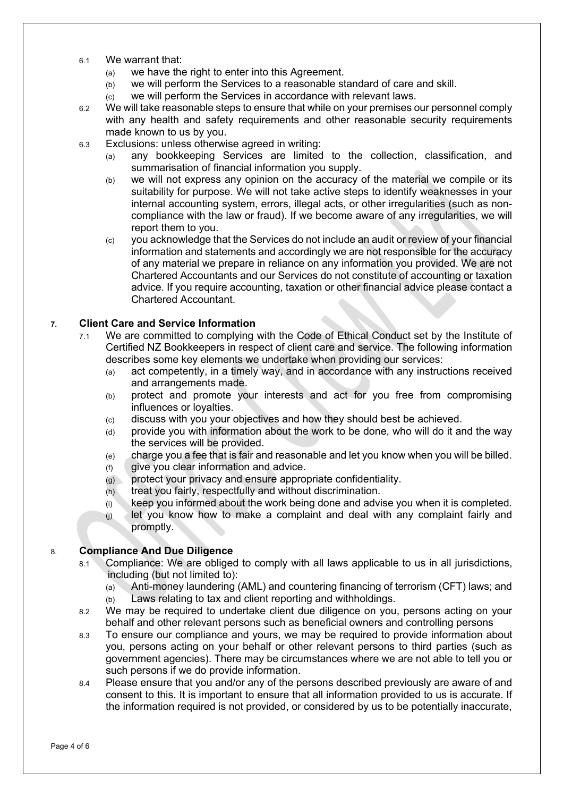- 6.1 We warrant that:
	- (a) we have the right to enter into this Agreement.
	- (b) we will perform the Services to a reasonable standard of care and skill.
	- (c) we will perform the Services in accordance with relevant laws.
- 6.2 We will take reasonable steps to ensure that while on your premises our personnel comply with any health and safety requirements and other reasonable security requirements made known to us by you.
- 6.3 Exclusions: unless otherwise agreed in writing:
	- (a) any bookkeeping Services are limited to the collection, classification, and summarisation of financial information you supply.
	- (b) we will not express any opinion on the accuracy of the material we compile or its suitability for purpose. We will not take active steps to identify weaknesses in your internal accounting system, errors, illegal acts, or other irregularities (such as noncompliance with the law or fraud). If we become aware of any irregularities, we will report them to you.
	- (c) you acknowledge that the Services do not include an audit or review of your financial information and statements and accordingly we are not responsible for the accuracy of any material we prepare in reliance on any information you provided. We are not Chartered Accountants and our Services do not constitute of accounting or taxation advice. If you require accounting, taxation or other financial advice please contact a Chartered Accountant.

## **7. Client Care and Service Information**

- 7.1 We are committed to complying with the Code of Ethical Conduct set by the Institute of Certified NZ Bookkeepers in respect of client care and service. The following information describes some key elements we undertake when providing our services:
	- (a) act competently, in a timely way, and in accordance with any instructions received and arrangements made.
	- (b) protect and promote your interests and act for you free from compromising influences or loyalties.
	- (c) discuss with you your objectives and how they should best be achieved.
	- (d) provide you with information about the work to be done, who will do it and the way the services will be provided.
	- (e) charge you a fee that is fair and reasonable and let you know when you will be billed.
	- (f) give you clear information and advice.
	- (g) protect your privacy and ensure appropriate confidentiality.
	- (h) treat you fairly, respectfully and without discrimination.
	- $(i)$  keep you informed about the work being done and advise you when it is completed.
	- $(i)$  let you know how to make a complaint and deal with any complaint fairly and promptly.

#### 8. **Compliance And Due Diligence**

- 8.1 Compliance: We are obliged to comply with all laws applicable to us in all jurisdictions, including (but not limited to):
	- (a) Anti-money laundering (AML) and countering financing of terrorism (CFT) laws; and (b) Laws relating to tax and client reporting and withholdings.
- 8.2 We may be required to undertake client due diligence on you, persons acting on your behalf and other relevant persons such as beneficial owners and controlling persons
- 8.3 To ensure our compliance and yours, we may be required to provide information about you, persons acting on your behalf or other relevant persons to third parties (such as government agencies). There may be circumstances where we are not able to tell you or such persons if we do provide information.
- 8.4 Please ensure that you and/or any of the persons described previously are aware of and consent to this. It is important to ensure that all information provided to us is accurate. If the information required is not provided, or considered by us to be potentially inaccurate,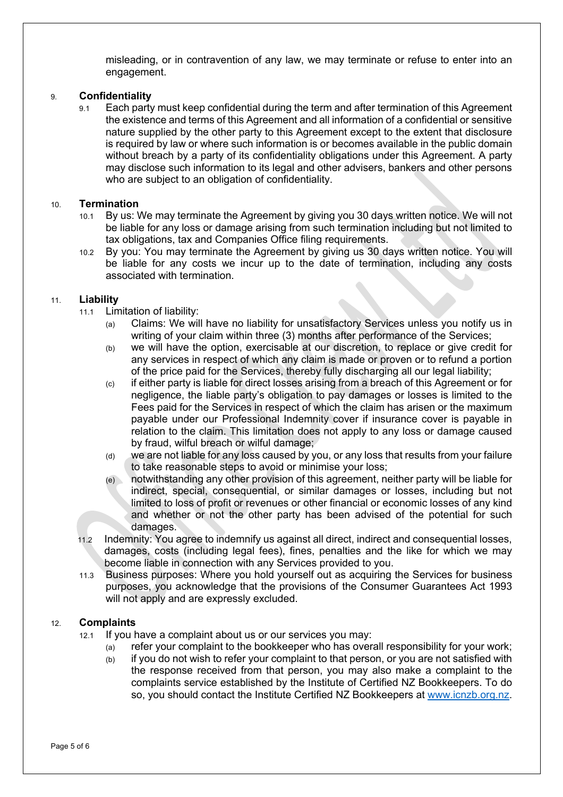misleading, or in contravention of any law, we may terminate or refuse to enter into an engagement.

#### 9. **Confidentiality**

9.1 Each party must keep confidential during the term and after termination of this Agreement the existence and terms of this Agreement and all information of a confidential or sensitive nature supplied by the other party to this Agreement except to the extent that disclosure is required by law or where such information is or becomes available in the public domain without breach by a party of its confidentiality obligations under this Agreement. A party may disclose such information to its legal and other advisers, bankers and other persons who are subject to an obligation of confidentiality.

#### 10. **Termination**

- 10.1 By us: We may terminate the Agreement by giving you 30 days written notice. We will not be liable for any loss or damage arising from such termination including but not limited to tax obligations, tax and Companies Office filing requirements.
- 10.2 By you: You may terminate the Agreement by giving us 30 days written notice. You will be liable for any costs we incur up to the date of termination, including any costs associated with termination.

## 11. **Liability**

- 11.1 Limitation of liability:
	- (a) Claims: We will have no liability for unsatisfactory Services unless you notify us in writing of your claim within three (3) months after performance of the Services;
	- (b) we will have the option, exercisable at our discretion, to replace or give credit for any services in respect of which any claim is made or proven or to refund a portion of the price paid for the Services, thereby fully discharging all our legal liability;
	- $(c)$  if either party is liable for direct losses arising from a breach of this Agreement or for negligence, the liable party's obligation to pay damages or losses is limited to the Fees paid for the Services in respect of which the claim has arisen or the maximum payable under our Professional Indemnity cover if insurance cover is payable in relation to the claim. This limitation does not apply to any loss or damage caused by fraud, wilful breach or wilful damage;
	- (d) we are not liable for any loss caused by you, or any loss that results from your failure to take reasonable steps to avoid or minimise your loss;
	- (e) notwithstanding any other provision of this agreement, neither party will be liable for indirect, special, consequential, or similar damages or losses, including but not limited to loss of profit or revenues or other financial or economic losses of any kind and whether or not the other party has been advised of the potential for such damages.
- 11.2 Indemnity: You agree to indemnify us against all direct, indirect and consequential losses, damages, costs (including legal fees), fines, penalties and the like for which we may become liable in connection with any Services provided to you.
- 11.3 Business purposes: Where you hold yourself out as acquiring the Services for business purposes, you acknowledge that the provisions of the Consumer Guarantees Act 1993 will not apply and are expressly excluded.

# 12. **Complaints**

- 12.1 If you have a complaint about us or our services you may:
	- (a) refer your complaint to the bookkeeper who has overall responsibility for your work;
	- $(b)$  if you do not wish to refer your complaint to that person, or you are not satisfied with the response received from that person, you may also make a complaint to the complaints service established by the Institute of Certified NZ Bookkeepers. To do so, you should contact the Institute Certified NZ Bookkeepers at www.icnzb.org.nz.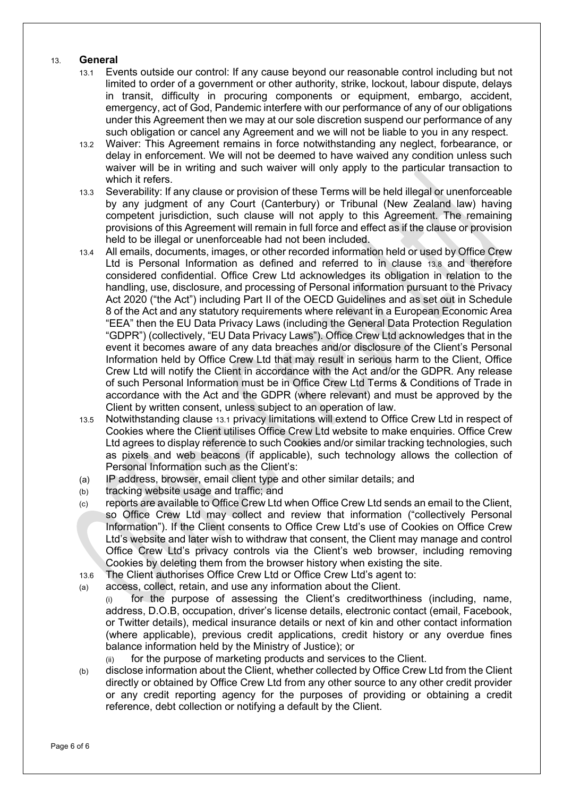# 13. **General**

- 13.1 Events outside our control: If any cause beyond our reasonable control including but not limited to order of a government or other authority, strike, lockout, labour dispute, delays in transit, difficulty in procuring components or equipment, embargo, accident, emergency, act of God, Pandemic interfere with our performance of any of our obligations under this Agreement then we may at our sole discretion suspend our performance of any such obligation or cancel any Agreement and we will not be liable to you in any respect.
- 13.2 Waiver: This Agreement remains in force notwithstanding any neglect, forbearance, or delay in enforcement. We will not be deemed to have waived any condition unless such waiver will be in writing and such waiver will only apply to the particular transaction to which it refers.
- 13.3 Severability: If any clause or provision of these Terms will be held illegal or unenforceable by any judgment of any Court (Canterbury) or Tribunal (New Zealand law) having competent jurisdiction, such clause will not apply to this Agreement. The remaining provisions of this Agreement will remain in full force and effect as if the clause or provision held to be illegal or unenforceable had not been included.
- 13.4 All emails, documents, images, or other recorded information held or used by Office Crew Ltd is Personal Information as defined and referred to in clause 13.8 and therefore considered confidential. Office Crew Ltd acknowledges its obligation in relation to the handling, use, disclosure, and processing of Personal information pursuant to the Privacy Act 2020 ("the Act") including Part II of the OECD Guidelines and as set out in Schedule 8 of the Act and any statutory requirements where relevant in a European Economic Area "EEA" then the EU Data Privacy Laws (including the General Data Protection Regulation "GDPR") (collectively, "EU Data Privacy Laws"). Office Crew Ltd acknowledges that in the event it becomes aware of any data breaches and/or disclosure of the Client's Personal Information held by Office Crew Ltd that may result in serious harm to the Client, Office Crew Ltd will notify the Client in accordance with the Act and/or the GDPR. Any release of such Personal Information must be in Office Crew Ltd Terms & Conditions of Trade in accordance with the Act and the GDPR (where relevant) and must be approved by the Client by written consent, unless subject to an operation of law.
- 13.5 Notwithstanding clause 13.1 privacy limitations will extend to Office Crew Ltd in respect of Cookies where the Client utilises Office Crew Ltd website to make enquiries. Office Crew Ltd agrees to display reference to such Cookies and/or similar tracking technologies, such as pixels and web beacons (if applicable), such technology allows the collection of Personal Information such as the Client's:
- (a) IP address, browser, email client type and other similar details; and
- (b) tracking website usage and traffic; and
- (c) reports are available to Office Crew Ltd when Office Crew Ltd sends an email to the Client, so Office Crew Ltd may collect and review that information ("collectively Personal Information"). If the Client consents to Office Crew Ltd's use of Cookies on Office Crew Ltd's website and later wish to withdraw that consent, the Client may manage and control Office Crew Ltd's privacy controls via the Client's web browser, including removing Cookies by deleting them from the browser history when existing the site.
- 13.6 The Client authorises Office Crew Ltd or Office Crew Ltd's agent to: (a) access, collect, retain, and use any information about the Client.
	- (i) for the purpose of assessing the Client's creditworthiness (including, name, address, D.O.B, occupation, driver's license details, electronic contact (email, Facebook, or Twitter details), medical insurance details or next of kin and other contact information (where applicable), previous credit applications, credit history or any overdue fines balance information held by the Ministry of Justice); or
		- (ii) for the purpose of marketing products and services to the Client.
- (b) disclose information about the Client, whether collected by Office Crew Ltd from the Client directly or obtained by Office Crew Ltd from any other source to any other credit provider or any credit reporting agency for the purposes of providing or obtaining a credit reference, debt collection or notifying a default by the Client.